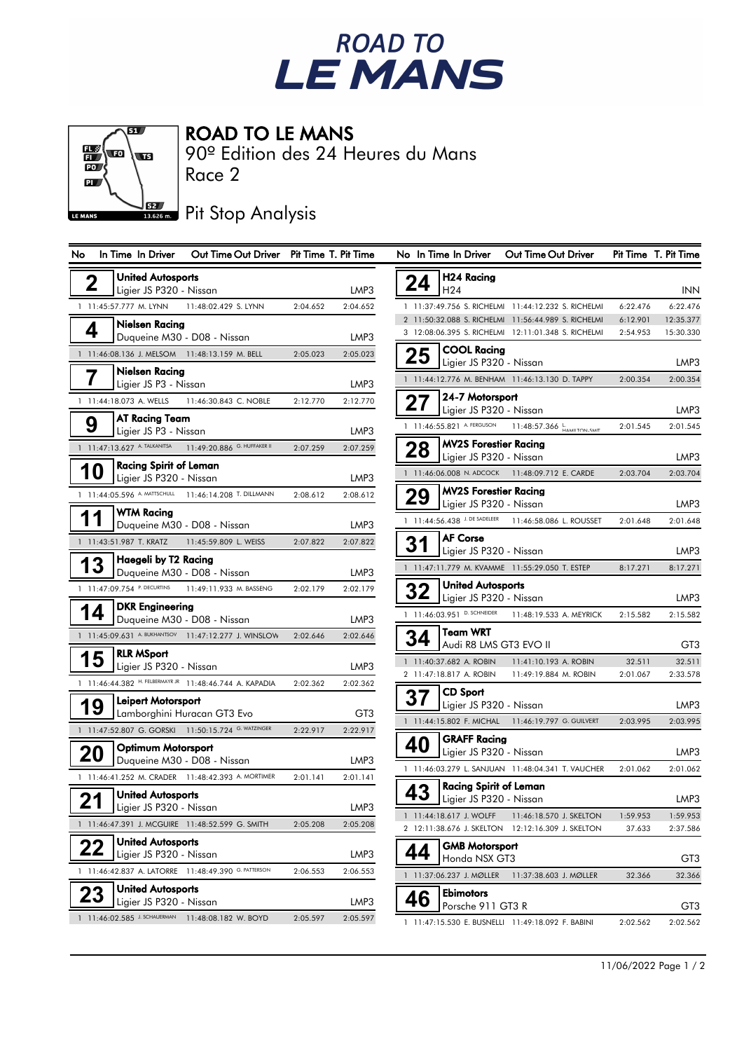



## ROAD TO LE MANS

Race 2 90º Edition des 24 Heures du Mans

## **J**<br>13626m. Pit Stop Analysis

| No                        |   | In Time In Driver                                   | Out Time Out Driver                                     | Pit Time T. Pit Time |          |
|---------------------------|---|-----------------------------------------------------|---------------------------------------------------------|----------------------|----------|
|                           |   | <b>United Autosports</b>                            |                                                         |                      |          |
|                           | 2 | Ligier JS P320 - Nissan                             |                                                         |                      | LMP3     |
| $\mathbf{1}$              |   | 11:45:57.777 M. LYNN                                | 11:48:02.429 S. LYNN                                    | 2:04.652             | 2:04.652 |
|                           |   | Nielsen Racing                                      |                                                         |                      |          |
|                           | 4 |                                                     | Duqueine M30 - D08 - Nissan                             |                      | LMP3     |
|                           |   | 1 11:46:08.136 J. MELSOM                            | 11:48:13.159 M. BELL                                    | 2:05.023             | 2:05.023 |
|                           |   | Nielsen Racing                                      |                                                         |                      |          |
|                           |   | Ligier JS P3 - Nissan                               |                                                         |                      | LMP3     |
| 1                         |   | 11:44:18.073 A. WELLS                               | 11:46:30.843 C. NOBLE                                   | 2:12.770             | 2:12.770 |
| 9                         |   | AT Racing Team                                      |                                                         |                      |          |
|                           |   | Ligier JS P3 - Nissan                               |                                                         |                      | LMP3     |
| $\mathbf{1}$              |   | 11:47:13.627 A. TALKANITSA                          | 11:49:20.886 G. HUFFAKER II                             | 2:07.259             | 2:07.259 |
|                           | O | <b>Racing Spirit of Leman</b>                       |                                                         |                      |          |
|                           |   | Ligier JS P320 - Nissan                             |                                                         |                      | LMP3     |
|                           |   | 1 11:44:05.596 A. MATTSCHULL                        | 11:46:14.208 T. DILLMANN                                | 2:08.612             | 2:08.612 |
|                           |   | WTM Racing                                          |                                                         |                      |          |
|                           |   |                                                     | Duqueine M30 - D08 - Nissan                             |                      | LMP3     |
|                           |   | 11:43:51.987 T. KRATZ                               | 11:45:59.809 L. WEISS                                   | 2:07.822             | 2:07.822 |
|                           |   | Haegeli by T2 Racing                                | Duqueine M30 - D08 - Nissan                             |                      | LMP3     |
|                           |   | 11:47:09.754 P. DECURTINS                           | 11:49:11.933 M. BASSENG                                 | 2:02.179             | 2:02.179 |
|                           |   | <b>DKR Engineering</b>                              |                                                         |                      |          |
|                           |   |                                                     | Duqueine M30 - D08 - Nissan                             |                      | LMP3     |
|                           |   | 1 11:45:09.631 A. BUKHANTSOV                        | 11:47:12.277 J. WINSLOW                                 | 2:02.646             | 2:02.646 |
|                           |   | <b>RLR MSport</b>                                   |                                                         |                      |          |
|                           |   | Ligier JS P320 - Nissan                             |                                                         |                      | LMP3     |
|                           |   |                                                     | 1 11:46:44.382 H. FELBERMAYR JR 11:48:46.744 A. KAPADIA | 2:02.362             | 2:02.362 |
|                           |   | Leipert Motorsport                                  |                                                         |                      |          |
|                           |   |                                                     | Lamborghini Huracan GT3 Evo                             |                      | GT3      |
| $\mathbf{1}$              |   | 11:47:52.807 G. GORSKI                              | 11:50:15.724 G. WATZINGER                               | 2:22.917             | 2:22.917 |
| 20                        |   | <b>Optimum Motorsport</b>                           |                                                         |                      |          |
|                           |   |                                                     | Duqueine M30 - D08 - Nissan                             |                      | LMP3     |
| 1                         |   | 11:46:41.252 M. CRADER                              | 11:48:42.393 A. MORTIMER                                | 2:01.141             | 2:01.141 |
| $\mathbf{Z}^{\mathsf{r}}$ |   | <b>United Autosports</b>                            |                                                         |                      |          |
|                           |   | Ligier JS P320 - Nissan                             |                                                         |                      | LMP3     |
|                           |   | 1 11:46:47.391 J. MCGUIRE                           | 11:48:52.599 G. SMITH                                   | 2:05.208             | 2:05.208 |
|                           |   | <b>United Autosports</b><br>Ligier JS P320 - Nissan |                                                         |                      |          |
|                           |   |                                                     | 11:48:49.390 G. PATTERSON                               |                      | LMP3     |
|                           |   | 11:46:42.837 A. LATORRE                             |                                                         | 2:06.553             | 2:06.553 |
|                           |   | <b>United Autosports</b><br>Ligier JS P320 - Nissan |                                                         |                      | LMP3     |
| 1                         |   | 11:46:02.585 J. SCHAUERMAN                          | 11:48:08.182 W. BOYD                                    | 2:05.597             | 2:05.597 |
|                           |   |                                                     |                                                         |                      |          |

|                | No In Time In Driver                                | Out Time Out Driver                             |          | Pit Time T. Pit Time |
|----------------|-----------------------------------------------------|-------------------------------------------------|----------|----------------------|
| 24             | H24 Racing<br>H24                                   |                                                 |          | <b>INN</b>           |
| 1              | 11:37:49.756 S. RICHELMI                            | 11:44:12.232 S. RICHELMI                        | 6:22.476 | 6:22.476             |
| $\overline{2}$ | 11:50:32.088 S. RICHELMI                            | 11:56:44.989 S. RICHELMI                        | 6:12.901 | 12:35.377            |
| 3              | 12:08:06.395 S. RICHELMI                            | 12:11:01.348 S. RICHELMI                        | 2:54.953 | 15:30.330            |
|                | <b>COOL Racing</b><br>Ligier JS P320 - Nissan       |                                                 |          | LMP3                 |
|                |                                                     | 1 11:44:12.776 M. BENHAM 11:46:13.130 D. TAPPY  | 2:00.354 | 2:00.354             |
|                | 24-7 Motorsport<br>Ligier JS P320 - Nissan          |                                                 |          | LMP3                 |
| 1              | 11:46:55.821 A. FERGUSON                            | 11:48:57.366 LAAMILTON SAIT                     | 2:01.545 | 2:01.545             |
|                | MV2S Forestier Racing                               |                                                 |          |                      |
| 28             | Ligier JS P320 - Nissan                             |                                                 |          | LMP3                 |
|                | 11:46:06.008 N. ADCOCK                              | 11:48:09.712 E. CARDE                           | 2:03.704 | 2:03.704             |
|                | MV2S Forestier Racing<br>Ligier JS P320 - Nissan    |                                                 |          | LMP3                 |
| 1              | 11:44:56.438 J. DE SADELEER                         | 11:46:58.086 L. ROUSSET                         | 2:01.648 | 2:01.648             |
|                | <b>AF Corse</b>                                     |                                                 |          |                      |
|                | Ligier JS P320 - Nissan                             |                                                 |          | LMP3                 |
|                |                                                     | 11:47:11.779 M. KVAMME 11:55:29.050 T. ESTEP    | 8:17.271 | 8:17.271             |
|                | <b>United Autosports</b><br>Ligier JS P320 - Nissan |                                                 |          | LMP3                 |
|                | 11:46:03.951 D. SCHNEIDER                           | 11:48:19.533 A. MEYRICK                         | 2:15.582 | 2:15.582             |
|                | Team WRT<br>Audi R8 LMS GT3 EVO II                  |                                                 |          | GT3                  |
| 1              | 11:40:37.682 A. ROBIN                               | 11:41:10.193 A. ROBIN                           | 32.511   | 32.511               |
| $\overline{2}$ | 11:47:18.817 A. ROBIN                               | 11:49:19.884 M. ROBIN                           | 2:01.067 | 2:33.578             |
|                | <b>CD Sport</b><br>Ligier JS P320 - Nissan          |                                                 |          | LMP3                 |
|                | 11:44:15.802 F. MICHAL                              | 11:46:19.797 G. GUILVERT                        | 2:03.995 | 2:03.995             |
| 40             | <b>GRAFF Racing</b><br>Ligier JS P320 - Nissan      |                                                 |          | LMP3                 |
| 1              | 11:46:03.279 L. SANJUAN                             | 11:48:04.341 T. VAUCHER                         | 2:01.062 | 2:01.062             |
|                | Racing Spirit of Leman<br>Ligier JS P320 - Nissan   |                                                 |          | LMP3                 |
| 1              | 11:44:18.617 J. WOLFF                               | 11:46:18.570 J. SKELTON                         | 1:59.953 | 1:59.953             |
| 2              | 12:11:38.676 J. SKELTON                             | 12:12:16.309 J. SKELTON                         | 37.633   | 2:37.586             |
|                | <b>GMB Motorsport</b><br>Honda NSX GT3              |                                                 |          | GT3                  |
|                | 11:37:06.237 J. MØLLER                              | 11:37:38.603 J. MØLLER                          | 32.366   | 32.366               |
|                | Ebimotors<br>Porsche 911 GT3 R                      |                                                 |          | GT3                  |
|                |                                                     | 11:47:15.530 E. BUSNELLI 11:49:18.092 F. BABINI | 2:02.562 | 2:02.562             |

11/06/2022 Page 1 / 2